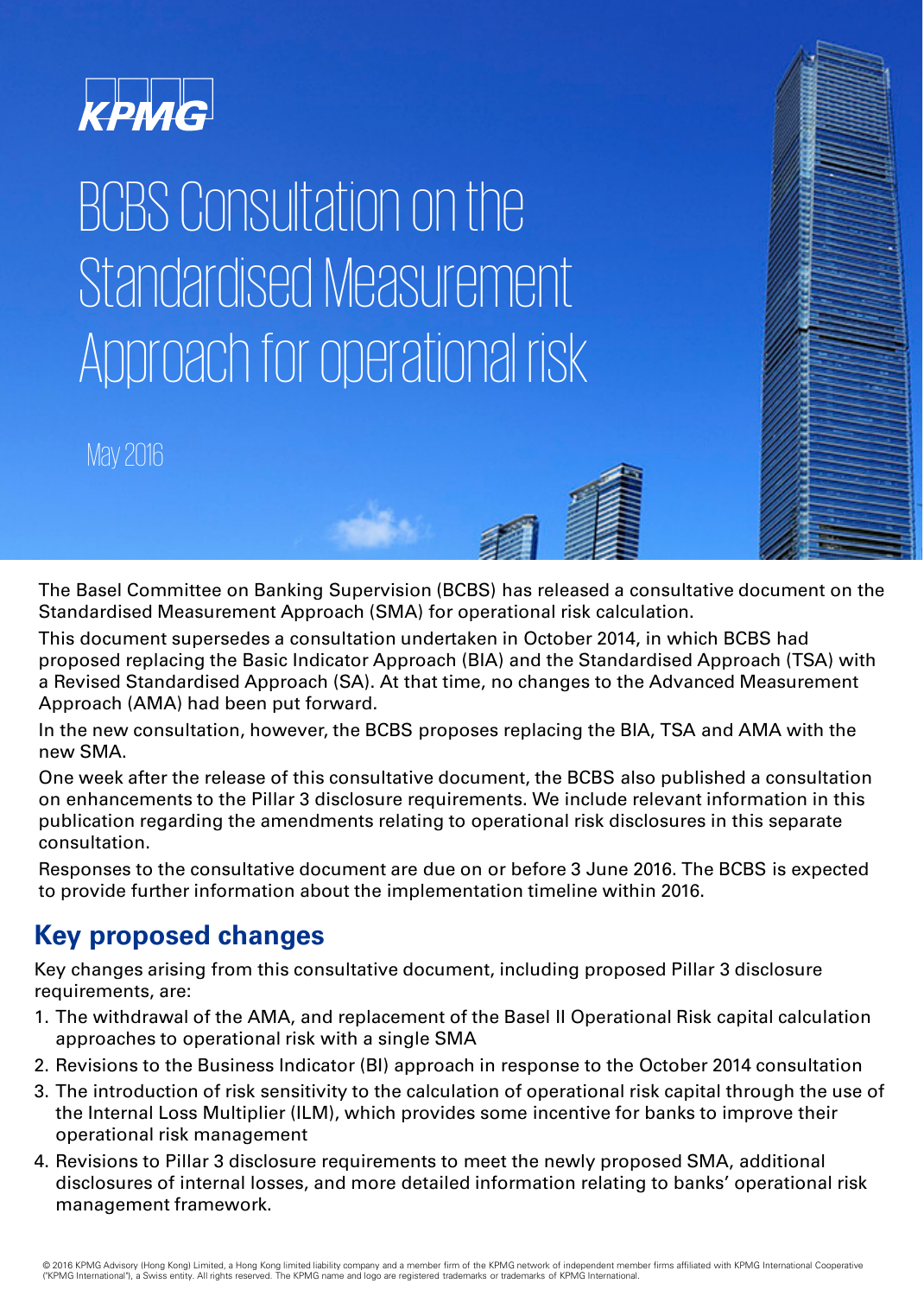

# BCBS Consultation on the Standardised Measurement Approach for operational risk

May 2016

The Basel Committee on Banking Supervision (BCBS) has released a consultative document on the Standardised Measurement Approach (SMA) for operational risk calculation.

This document supersedes a consultation undertaken in October 2014, in which BCBS had proposed replacing the Basic Indicator Approach (BIA) and the Standardised Approach (TSA) with a Revised Standardised Approach (SA). At that time, no changes to the Advanced Measurement Approach (AMA) had been put forward.

In the new consultation, however, the BCBS proposes replacing the BIA, TSA and AMA with the new SMA.

One week after the release of this consultative document, the BCBS also published a consultation on enhancements to the Pillar 3 disclosure requirements. We include relevant information in this publication regarding the amendments relating to operational risk disclosures in this separate consultation.

Responses to the consultative document are due on or before 3 June 2016. The BCBS is expected to provide further information about the implementation timeline within 2016.

#### **Key proposed changes**

Key changes arising from this consultative document, including proposed Pillar 3 disclosure requirements, are:

- 1. The withdrawal of the AMA, and replacement of the Basel II Operational Risk capital calculation approaches to operational risk with a single SMA
- 2. Revisions to the Business Indicator (BI) approach in response to the October 2014 consultation
- 3. The introduction of risk sensitivity to the calculation of operational risk capital through the use of the Internal Loss Multiplier (ILM), which provides some incentive for banks to improve their operational risk management
- 4. Revisions to Pillar 3 disclosure requirements to meet the newly proposed SMA, additional disclosures of internal losses, and more detailed information relating to banks' operational risk management framework.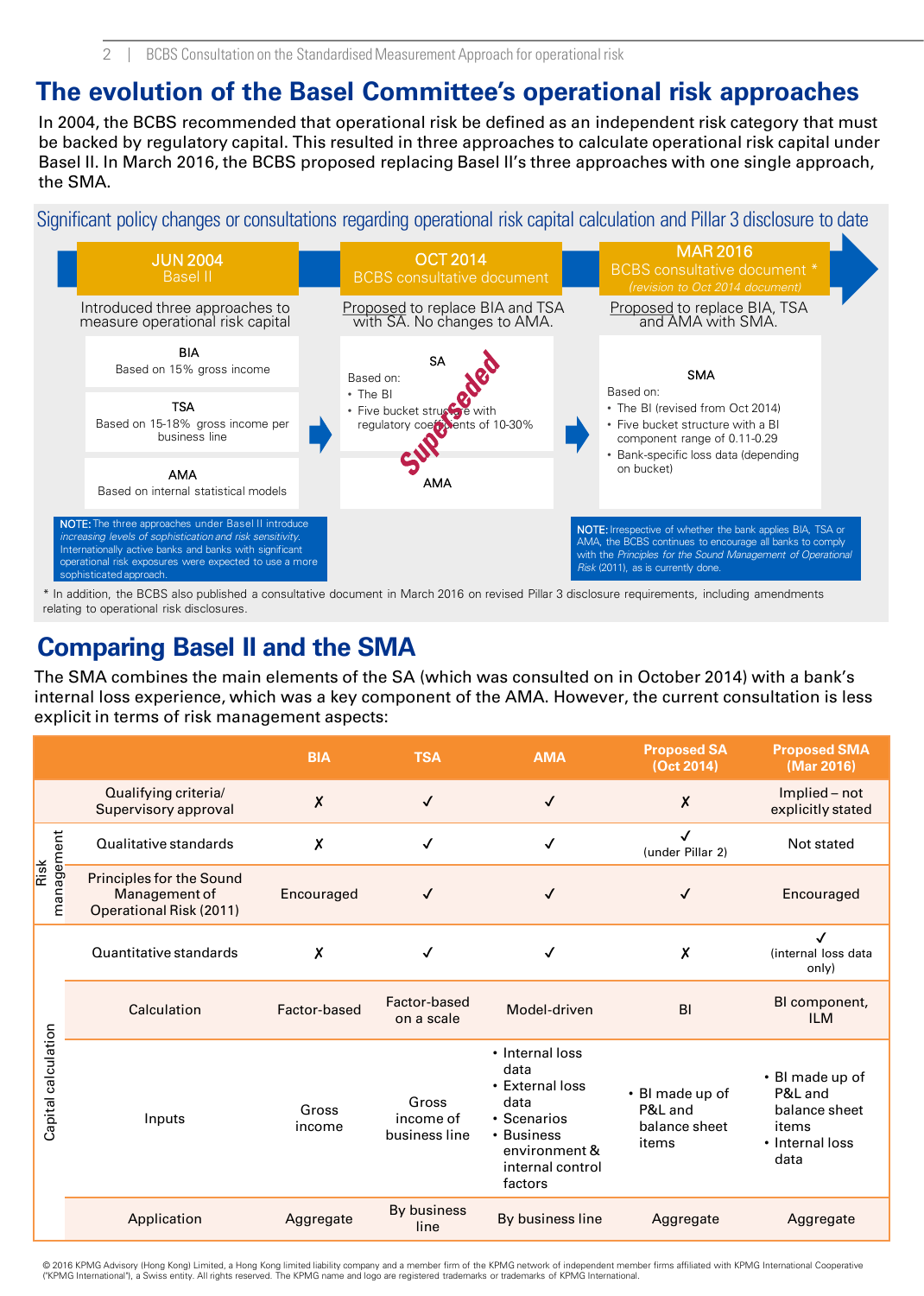2 BCBS Consultation on the Standardised Measurement Approach for operational risk

#### **The evolution of the Basel Committee's operational risk approaches**

In 2004, the BCBS recommended that operational risk be defined as an independent risk category that must be backed by regulatory capital. This resulted in three approaches to calculate operational risk capital under Basel II. In March 2016, the BCBS proposed replacing Basel II's three approaches with one single approach, the SMA.

Significant policy changes or consultations regarding operational risk capital calculation and Pillar 3 disclosure to date



\* In addition, the BCBS also published a consultative document in March 2016 on revised Pillar 3 disclosure requirements, including amendments relating to operational risk disclosures.

#### **Comparing Basel II and the SMA**

The SMA combines the main elements of the SA (which was consulted on in October 2014) with a bank's internal loss experience, which was a key component of the AMA. However, the current consultation is less explicit in terms of risk management aspects:

|                     |                                                                             | <b>BIA</b>                | <b>TSA</b>                          | <b>AMA</b>                                                                                                                      | <b>Proposed SA</b><br>(Oct 2014)                     | <b>Proposed SMA</b><br>(Mar 2016)                                               |
|---------------------|-----------------------------------------------------------------------------|---------------------------|-------------------------------------|---------------------------------------------------------------------------------------------------------------------------------|------------------------------------------------------|---------------------------------------------------------------------------------|
|                     | Qualifying criteria/<br>Supervisory approval                                | $\boldsymbol{\mathsf{x}}$ | $\checkmark$                        | $\checkmark$                                                                                                                    | X                                                    | Implied - not<br>explicitly stated                                              |
| management<br>Risk  | Qualitative standards                                                       | X                         | ✓                                   | ✓                                                                                                                               | (under Pillar 2)                                     | Not stated                                                                      |
|                     | <b>Principles for the Sound</b><br>Management of<br>Operational Risk (2011) | Encouraged                | ✓                                   | √                                                                                                                               | ✓                                                    | Encouraged                                                                      |
| Capital calculation | Quantitative standards                                                      | $\boldsymbol{\mathsf{x}}$ | ✓                                   | √                                                                                                                               | χ                                                    | $\checkmark$<br>(internal loss data<br>only)                                    |
|                     | Calculation                                                                 | Factor-based              | Factor-based<br>on a scale          | Model-driven                                                                                                                    | B <sub>l</sub>                                       | BI component,<br><b>ILM</b>                                                     |
|                     | Inputs                                                                      | Gross<br>income           | Gross<br>income of<br>business line | • Internal loss<br>data<br>• External loss<br>data<br>• Scenarios<br>• Business<br>environment &<br>internal control<br>factors | • BI made up of<br>P&L and<br>balance sheet<br>items | • BI made up of<br>P&L and<br>balance sheet<br>items<br>• Internal loss<br>data |
|                     | Application                                                                 | Aggregate                 | By business<br>line                 | By business line                                                                                                                | Aggregate                                            | Aggregate                                                                       |

© 2016 KPMG Advisory (Hong Kong) Limited, a Hong Kong limited liability company and a member fim of the KPMG network of independent member firms affiliated with KPMG International Cooperative<br>("KPMG International"), a Swis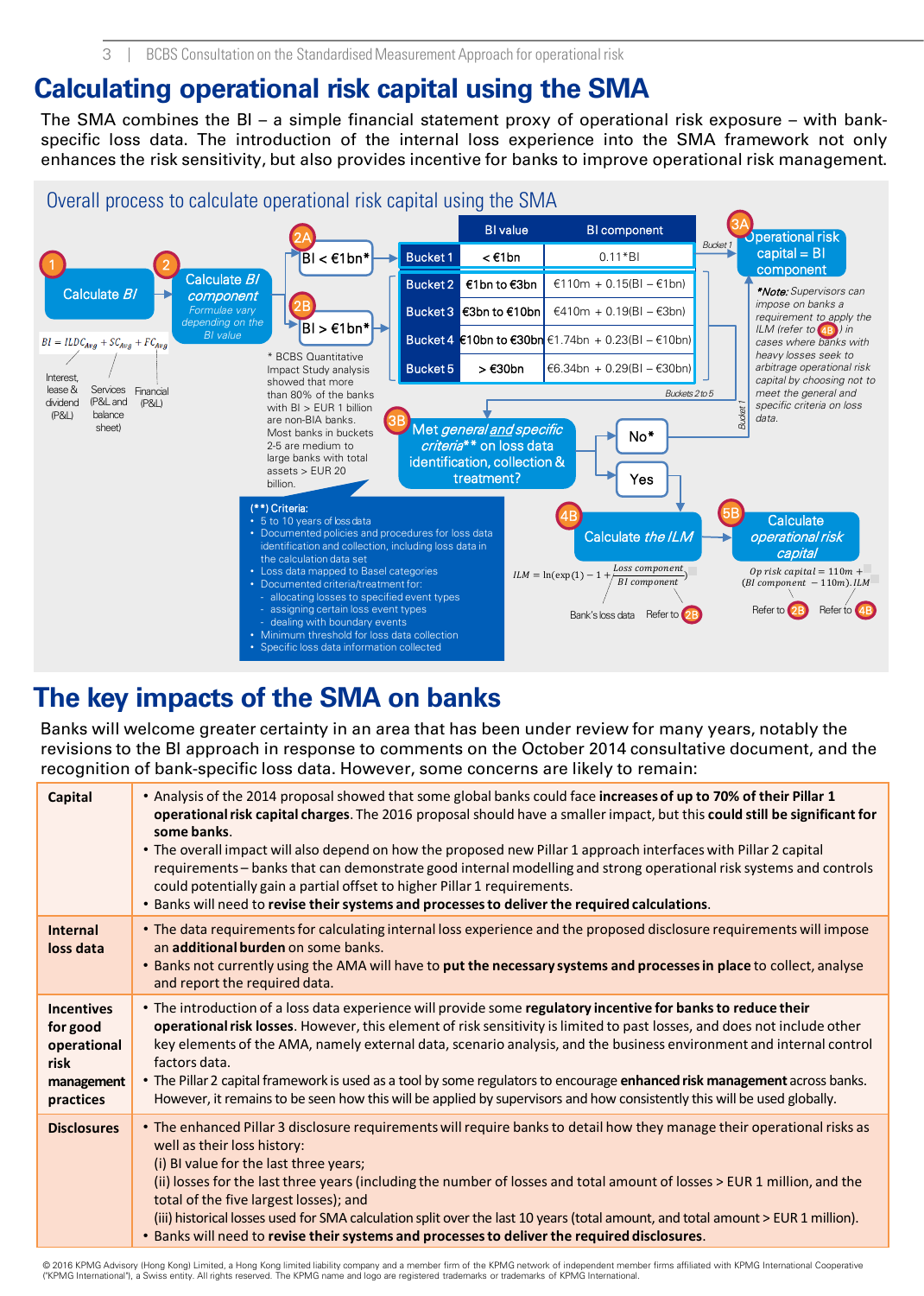#### **Calculating operational risk capital using the SMA**

The SMA combines the BI – a simple financial statement proxy of operational risk exposure – with bankspecific loss data. The introduction of the internal loss experience into the SMA framework not only enhances the risk sensitivity, but also provides incentive for banks to improve operational risk management.



#### **The key impacts of the SMA on banks**

Banks will welcome greater certainty in an area that has been under review for many years, notably the revisions to the BI approach in response to comments on the October 2014 consultative document, and the recognition of bank-specific loss data. However, some concerns are likely to remain:

| <b>Capital</b>                                                                  | • Analysis of the 2014 proposal showed that some global banks could face increases of up to 70% of their Pillar 1<br>operational risk capital charges. The 2016 proposal should have a smaller impact, but this could still be significant for<br>some banks.<br>• The overall impact will also depend on how the proposed new Pillar 1 approach interfaces with Pillar 2 capital<br>requirements - banks that can demonstrate good internal modelling and strong operational risk systems and controls<br>could potentially gain a partial offset to higher Pillar 1 requirements.<br>. Banks will need to revise their systems and processes to deliver the required calculations. |
|---------------------------------------------------------------------------------|--------------------------------------------------------------------------------------------------------------------------------------------------------------------------------------------------------------------------------------------------------------------------------------------------------------------------------------------------------------------------------------------------------------------------------------------------------------------------------------------------------------------------------------------------------------------------------------------------------------------------------------------------------------------------------------|
| <b>Internal</b><br>loss data                                                    | • The data requirements for calculating internal loss experience and the proposed disclosure requirements will impose<br>an additional burden on some banks.<br>. Banks not currently using the AMA will have to put the necessary systems and processes in place to collect, analyse<br>and report the required data.                                                                                                                                                                                                                                                                                                                                                               |
| <b>Incentives</b><br>for good<br>operational<br>risk<br>management<br>practices | • The introduction of a loss data experience will provide some regulatory incentive for banks to reduce their<br>operational risk losses. However, this element of risk sensitivity is limited to past losses, and does not include other<br>key elements of the AMA, namely external data, scenario analysis, and the business environment and internal control<br>factors data.<br>• The Pillar 2 capital framework is used as a tool by some regulators to encourage enhanced risk management across banks.<br>However, it remains to be seen how this will be applied by supervisors and how consistently this will be used globally.                                            |
| <b>Disclosures</b>                                                              | • The enhanced Pillar 3 disclosure requirements will require banks to detail how they manage their operational risks as<br>well as their loss history:<br>(i) BI value for the last three years;<br>(ii) losses for the last three years (including the number of losses and total amount of losses > EUR 1 million, and the<br>total of the five largest losses); and<br>(iii) historical losses used for SMA calculation split over the last 10 years (total amount, and total amount > EUR 1 million).<br>. Banks will need to revise their systems and processes to deliver the required disclosures.                                                                            |